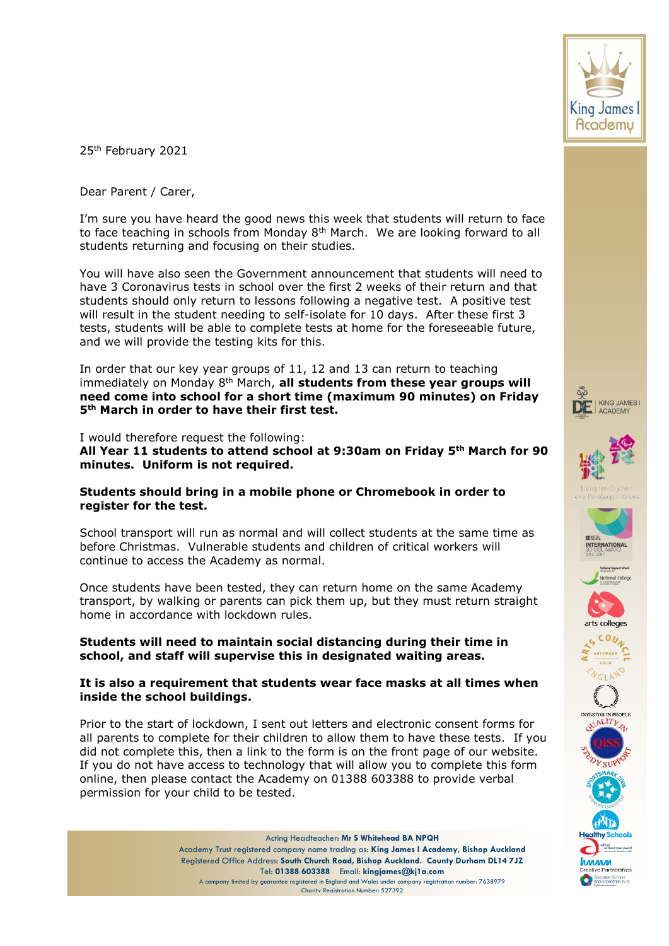

25th February 2021

Dear Parent / Carer,

I'm sure you have heard the good news this week that students will return to face to face teaching in schools from Monday  $8<sup>th</sup>$  March. We are looking forward to all students returning and focusing on their studies.

You will have also seen the Government announcement that students will need to have 3 Coronavirus tests in school over the first 2 weeks of their return and that students should only return to lessons following a negative test. A positive test will result in the student needing to self-isolate for 10 days. After these first 3 tests, students will be able to complete tests at home for the foreseeable future, and we will provide the testing kits for this.

In order that our key year groups of 11, 12 and 13 can return to teaching immediately on Monday 8<sup>th</sup> March, all students from these year groups will **need come into school for a short time (maximum 90 minutes) on Friday 5th March in order to have their first test.**

I would therefore request the following:

**All Year 11 students to attend school at 9:30am on Friday 5th March for 90 minutes. Uniform is not required.**

## **Students should bring in a mobile phone or Chromebook in order to register for the test.**

School transport will run as normal and will collect students at the same time as before Christmas. Vulnerable students and children of critical workers will continue to access the Academy as normal.

Once students have been tested, they can return home on the same Academy transport, by walking or parents can pick them up, but they must return straight home in accordance with lockdown rules.

## **Students will need to maintain social distancing during their time in school, and staff will supervise this in designated waiting areas.**

## **It is also a requirement that students wear face masks at all times when inside the school buildings.**

Prior to the start of lockdown, I sent out letters and electronic consent forms for all parents to complete for their children to allow them to have these tests. If you did not complete this, then a link to the form is on the front page of our website. If you do not have access to technology that will allow you to complete this form online, then please contact the Academy on 01388 603388 to provide verbal permission for your child to be tested.



















.<br>Specialist Schools<br>and Academies Trus